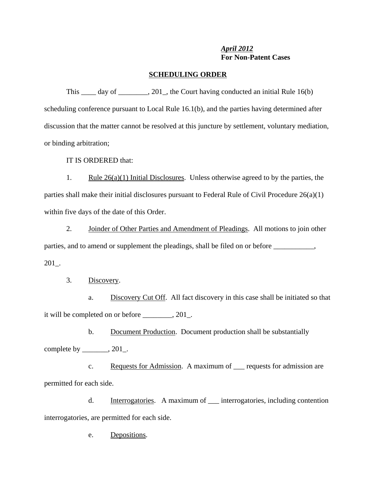## *April 2012* **For Non-Patent Cases**

## **SCHEDULING ORDER**

This day of  $\frac{1}{201}$ , the Court having conducted an initial Rule 16(b) scheduling conference pursuant to Local Rule 16.1(b), and the parties having determined after discussion that the matter cannot be resolved at this juncture by settlement, voluntary mediation, or binding arbitration;

IT IS ORDERED that:

1. Rule  $26(a)(1)$  Initial Disclosures. Unless otherwise agreed to by the parties, the parties shall make their initial disclosures pursuant to Federal Rule of Civil Procedure 26(a)(1) within five days of the date of this Order.

2. Joinder of Other Parties and Amendment of Pleadings. All motions to join other parties, and to amend or supplement the pleadings, shall be filed on or before \_\_\_\_\_\_\_\_\_, 201\_.

3. Discovery.

a. Discovery Cut Off. All fact discovery in this case shall be initiated so that it will be completed on or before \_\_\_\_\_\_\_\_, 201\_.

b. Document Production. Document production shall be substantially complete by \_\_\_\_\_\_\_, 201\_.

c. Requests for Admission. A maximum of \_\_\_ requests for admission are permitted for each side.

d. Interrogatories. A maximum of \_\_\_ interrogatories, including contention interrogatories, are permitted for each side.

e. Depositions.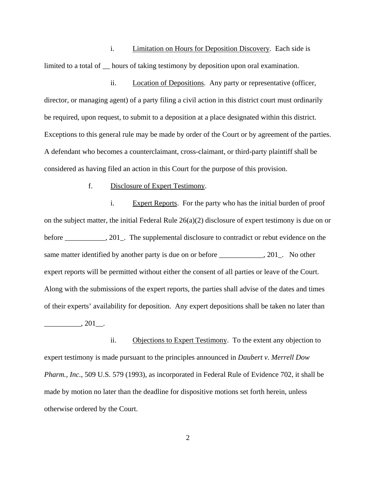i. Limitation on Hours for Deposition Discovery. Each side is limited to a total of hours of taking testimony by deposition upon oral examination.

ii. Location of Depositions. Any party or representative (officer, director, or managing agent) of a party filing a civil action in this district court must ordinarily be required, upon request, to submit to a deposition at a place designated within this district. Exceptions to this general rule may be made by order of the Court or by agreement of the parties. A defendant who becomes a counterclaimant, cross-claimant, or third-party plaintiff shall be considered as having filed an action in this Court for the purpose of this provision.

## f. Disclosure of Expert Testimony.

i. Expert Reports. For the party who has the initial burden of proof on the subject matter, the initial Federal Rule  $26(a)(2)$  disclosure of expert testimony is due on or before \_\_\_\_\_\_\_\_, 201\_. The supplemental disclosure to contradict or rebut evidence on the same matter identified by another party is due on or before \_\_\_\_\_\_\_\_\_\_\_, 201\_. No other expert reports will be permitted without either the consent of all parties or leave of the Court. Along with the submissions of the expert reports, the parties shall advise of the dates and times of their experts' availability for deposition. Any expert depositions shall be taken no later than  $\frac{1}{201}$ .

ii. Objections to Expert Testimony. To the extent any objection to expert testimony is made pursuant to the principles announced in *Daubert v. Merrell Dow Pharm., Inc.*, 509 U.S. 579 (1993), as incorporated in Federal Rule of Evidence 702, it shall be made by motion no later than the deadline for dispositive motions set forth herein, unless otherwise ordered by the Court.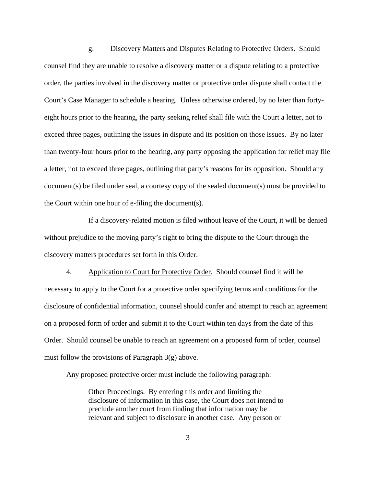g. Discovery Matters and Disputes Relating to Protective Orders. Should counsel find they are unable to resolve a discovery matter or a dispute relating to a protective order, the parties involved in the discovery matter or protective order dispute shall contact the Court's Case Manager to schedule a hearing. Unless otherwise ordered, by no later than fortyeight hours prior to the hearing, the party seeking relief shall file with the Court a letter, not to exceed three pages, outlining the issues in dispute and its position on those issues. By no later than twenty-four hours prior to the hearing, any party opposing the application for relief may file a letter, not to exceed three pages, outlining that party's reasons for its opposition. Should any document(s) be filed under seal, a courtesy copy of the sealed document(s) must be provided to the Court within one hour of e-filing the document(s).

If a discovery-related motion is filed without leave of the Court, it will be denied without prejudice to the moving party's right to bring the dispute to the Court through the discovery matters procedures set forth in this Order.

4. Application to Court for Protective Order. Should counsel find it will be necessary to apply to the Court for a protective order specifying terms and conditions for the disclosure of confidential information, counsel should confer and attempt to reach an agreement on a proposed form of order and submit it to the Court within ten days from the date of this Order. Should counsel be unable to reach an agreement on a proposed form of order, counsel must follow the provisions of Paragraph 3(g) above.

Any proposed protective order must include the following paragraph:

Other Proceedings. By entering this order and limiting the disclosure of information in this case, the Court does not intend to preclude another court from finding that information may be relevant and subject to disclosure in another case. Any person or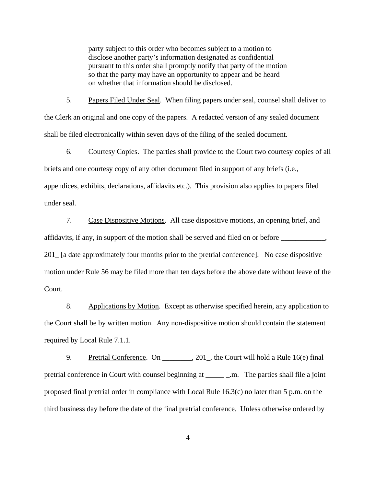party subject to this order who becomes subject to a motion to disclose another party's information designated as confidential pursuant to this order shall promptly notify that party of the motion so that the party may have an opportunity to appear and be heard on whether that information should be disclosed.

5. Papers Filed Under Seal. When filing papers under seal, counsel shall deliver to the Clerk an original and one copy of the papers. A redacted version of any sealed document shall be filed electronically within seven days of the filing of the sealed document.

6. Courtesy Copies. The parties shall provide to the Court two courtesy copies of all briefs and one courtesy copy of any other document filed in support of any briefs (i.e., appendices, exhibits, declarations, affidavits etc.). This provision also applies to papers filed under seal.

7. Case Dispositive Motions. All case dispositive motions, an opening brief, and affidavits, if any, in support of the motion shall be served and filed on or before \_\_\_\_\_\_\_\_\_\_\_\_, 201\_ [a date approximately four months prior to the pretrial conference]. No case dispositive motion under Rule 56 may be filed more than ten days before the above date without leave of the Court.

8. Applications by Motion. Except as otherwise specified herein, any application to the Court shall be by written motion. Any non-dispositive motion should contain the statement required by Local Rule 7.1.1.

9. Pretrial Conference. On \_\_\_\_\_\_\_, 201, the Court will hold a Rule 16(e) final pretrial conference in Court with counsel beginning at \_\_\_\_\_ \_.m. The parties shall file a joint proposed final pretrial order in compliance with Local Rule 16.3(c) no later than 5 p.m. on the third business day before the date of the final pretrial conference. Unless otherwise ordered by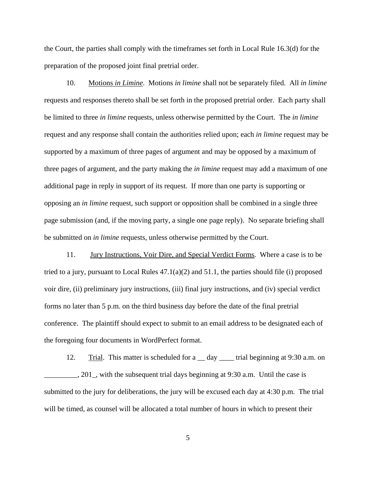the Court, the parties shall comply with the timeframes set forth in Local Rule 16.3(d) for the preparation of the proposed joint final pretrial order.

10. Motions *in Limine*. Motions *in limine* shall not be separately filed. All *in limine* requests and responses thereto shall be set forth in the proposed pretrial order. Each party shall be limited to three *in limine* requests, unless otherwise permitted by the Court. The *in limine* request and any response shall contain the authorities relied upon; each *in limine* request may be supported by a maximum of three pages of argument and may be opposed by a maximum of three pages of argument, and the party making the *in limine* request may add a maximum of one additional page in reply in support of its request. If more than one party is supporting or opposing an *in limine* request, such support or opposition shall be combined in a single three page submission (and, if the moving party, a single one page reply). No separate briefing shall be submitted on *in limine* requests, unless otherwise permitted by the Court.

11. Jury Instructions, Voir Dire, and Special Verdict Forms. Where a case is to be tried to a jury, pursuant to Local Rules  $47.1(a)(2)$  and  $51.1$ , the parties should file (i) proposed voir dire, (ii) preliminary jury instructions, (iii) final jury instructions, and (iv) special verdict forms no later than 5 p.m. on the third business day before the date of the final pretrial conference. The plaintiff should expect to submit to an email address to be designated each of the foregoing four documents in WordPerfect format.

12. Trial. This matter is scheduled for a \_\_ day \_\_\_\_ trial beginning at 9:30 a.m. on \_\_\_\_\_\_\_\_\_, 201\_, with the subsequent trial days beginning at 9:30 a.m. Until the case is submitted to the jury for deliberations, the jury will be excused each day at 4:30 p.m. The trial will be timed, as counsel will be allocated a total number of hours in which to present their